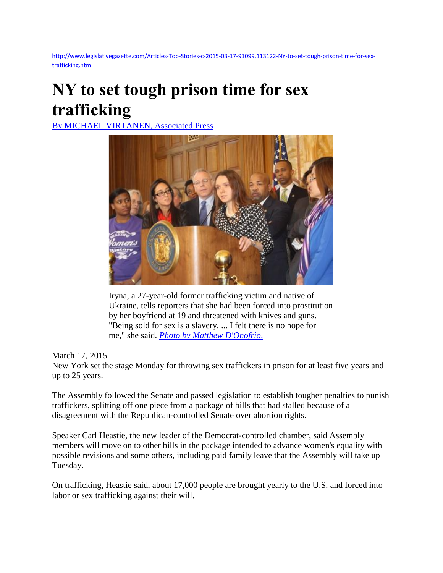[http://www.legislativegazette.com/Articles-Top-Stories-c-2015-03-17-91099.113122-NY-to-set-tough-prison-time-for-sex](http://www.legislativegazette.com/Articles-Top-Stories-c-2015-03-17-91099.113122-NY-to-set-tough-prison-time-for-sex-trafficking.html)[trafficking.html](http://www.legislativegazette.com/Articles-Top-Stories-c-2015-03-17-91099.113122-NY-to-set-tough-prison-time-for-sex-trafficking.html)

## **NY to set tough prison time for sex trafficking**

[By MICHAEL VIRTANEN, Associated Press](http://www.legislativegazette.com/1editorialtablebody.lasso?-token.searchtype=authorroutine&-token.lpsearchstring=MICHAEL%20VIRTANEN,%20Associated%20Press)



Iryna, a 27-year-old former trafficking victim and native of Ukraine, tells reporters that she had been forced into prostitution by her boyfriend at 19 and threatened with knives and guns. "Being sold for sex is a slavery. ... I felt there is no hope for me," she said. *[Photo by Matthew D'Onofrio](http://www.legislativegazette.com/1evisualtablebody.lasso?photographer=Matthew%20D%27Onofrio)*.

## March 17, 2015

New York set the stage Monday for throwing sex traffickers in prison for at least five years and up to 25 years.

The Assembly followed the Senate and passed legislation to establish tougher penalties to punish traffickers, splitting off one piece from a package of bills that had stalled because of a disagreement with the Republican-controlled Senate over abortion rights.

Speaker Carl Heastie, the new leader of the Democrat-controlled chamber, said Assembly members will move on to other bills in the package intended to advance women's equality with possible revisions and some others, including paid family leave that the Assembly will take up Tuesday.

On trafficking, Heastie said, about 17,000 people are brought yearly to the U.S. and forced into labor or sex trafficking against their will.